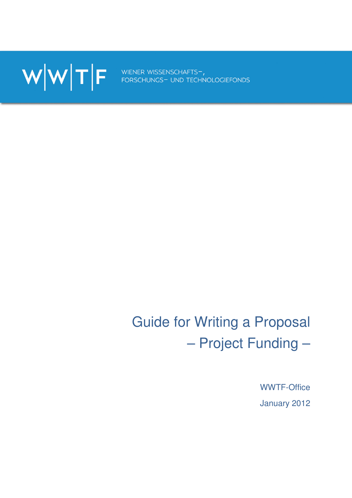

# Guide for Writing a Proposal – Project Funding –

WWTF-Office January 2012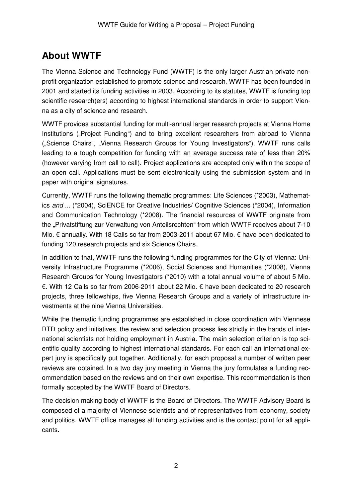# **About WWTF**

The Vienna Science and Technology Fund (WWTF) is the only larger Austrian private nonprofit organization established to promote science and research. WWTF has been founded in 2001 and started its funding activities in 2003. According to its statutes, WWTF is funding top scientific research(ers) according to highest international standards in order to support Vienna as a city of science and research.

WWTF provides substantial funding for multi-annual larger research projects at Vienna Home Institutions ("Project Funding") and to bring excellent researchers from abroad to Vienna ("Science Chairs", "Vienna Research Groups for Young Investigators"). WWTF runs calls leading to a tough competition for funding with an average success rate of less than 20% (however varying from call to call). Project applications are accepted only within the scope of an open call. Applications must be sent electronically using the submission system and in paper with original signatures.

Currently, WWTF runs the following thematic programmes: Life Sciences (\*2003), Mathematics and ... (\*2004), SciENCE for Creative Industries/ Cognitive Sciences (\*2004), Information and Communication Technology (\*2008). The financial resources of WWTF originate from the "Privatstiftung zur Verwaltung von Anteilsrechten" from which WWTF receives about 7-10 Mio. € annually. With 18 Calls so far from 2003-2011 about 67 Mio. € have been dedicated to funding 120 research projects and six Science Chairs.

In addition to that, WWTF runs the following funding programmes for the City of Vienna: University Infrastructure Programme (\*2006), Social Sciences and Humanities (\*2008), Vienna Research Groups for Young Investigators (\*2010) with a total annual volume of about 5 Mio. €. With 12 Calls so far from 2006-2011 about 22 Mio. € have been dedicated to 20 research projects, three fellowships, five Vienna Research Groups and a variety of infrastructure investments at the nine Vienna Universities.

While the thematic funding programmes are established in close coordination with Viennese RTD policy and initiatives, the review and selection process lies strictly in the hands of international scientists not holding employment in Austria. The main selection criterion is top scientific quality according to highest international standards. For each call an international expert jury is specifically put together. Additionally, for each proposal a number of written peer reviews are obtained. In a two day jury meeting in Vienna the jury formulates a funding recommendation based on the reviews and on their own expertise. This recommendation is then formally accepted by the WWTF Board of Directors.

The decision making body of WWTF is the Board of Directors. The WWTF Advisory Board is composed of a majority of Viennese scientists and of representatives from economy, society and politics. WWTF office manages all funding activities and is the contact point for all applicants.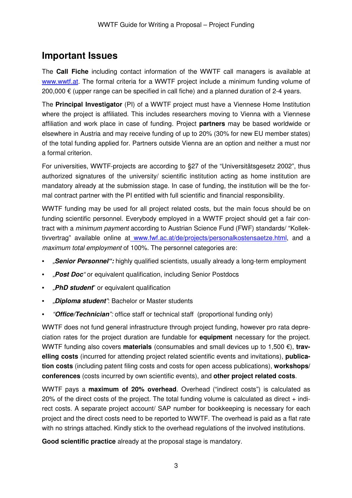### **Important Issues**

The **Call Fiche** including contact information of the WWTF call managers is available at www.wwtf.at. The formal criteria for a WWTF project include a minimum funding volume of 200,000 € (upper range can be specified in call fiche) and a planned duration of 2-4 years.

The **Principal Investigator** (PI) of a WWTF project must have a Viennese Home Institution where the project is affiliated. This includes researchers moving to Vienna with a Viennese affiliation and work place in case of funding. Project **partners** may be based worldwide or elsewhere in Austria and may receive funding of up to 20% (30% for new EU member states) of the total funding applied for. Partners outside Vienna are an option and neither a must nor a formal criterion.

For universities, WWTF-projects are according to §27 of the "Universitätsgesetz 2002", thus authorized signatures of the university/ scientific institution acting as home institution are mandatory already at the submission stage. In case of funding, the institution will be the formal contract partner with the PI entitled with full scientific and financial responsibility.

WWTF funding may be used for all project related costs, but the main focus should be on funding scientific personnel. Everybody employed in a WWTF project should get a fair contract with a minimum payment according to Austrian Science Fund (FWF) standards/ "Kollektivvertrag" available online at www.fwf.ac.at/de/projects/personalkostensaetze.html, and a maximum total employment of 100%. The personnel categories are:

- "**Senior Personnel":** highly qualified scientists, usually already a long-term employment
- "Post Doc" or equivalent qualification, including Senior Postdocs
- "**PhD student**" or equivalent qualification
- "**Diploma student**": Bachelor or Master students
- "**Office/Technician**": office staff or technical staff (proportional funding only)

WWTF does not fund general infrastructure through project funding, however pro rata depreciation rates for the project duration are fundable for **equipment** necessary for the project. WWTF funding also covers **materials** (consumables and small devices up to 1,500 €), **travelling costs** (incurred for attending project related scientific events and invitations), **publication costs** (including patent filing costs and costs for open access publications), **workshops/ conferences** (costs incurred by own scientific events), and **other project related costs**.

WWTF pays a **maximum of 20% overhead**. Overhead ("indirect costs") is calculated as  $20\%$  of the direct costs of the project. The total funding volume is calculated as direct  $+$  indirect costs. A separate project account/ SAP number for bookkeeping is necessary for each project and the direct costs need to be reported to WWTF. The overhead is paid as a flat rate with no strings attached. Kindly stick to the overhead regulations of the involved institutions.

**Good scientific practice** already at the proposal stage is mandatory.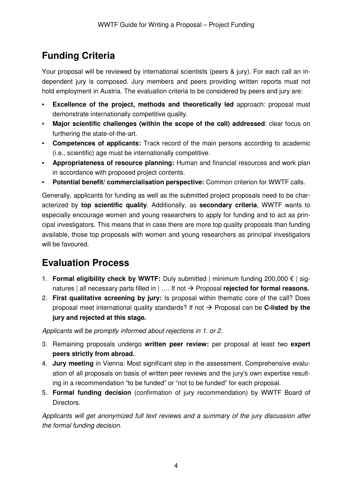# **Funding Criteria**

Your proposal will be reviewed by international scientists (peers & jury). For each call an independent jury is composed. Jury members and peers providing written reports must not hold employment in Austria. The evaluation criteria to be considered by peers and jury are:

- **Excellence of the project, methods and theoretically led** approach: proposal must demonstrate internationally competitive quality.
- **Major scientific challenges (within the scope of the call) addressed**: clear focus on furthering the state-of-the-art.
- **Competences of applicants:** Track record of the main persons according to academic (i.e., scientific) age must be internationally competitive.
- **Appropriateness of resource planning:** Human and financial resources and work plan in accordance with proposed project contents.
- **Potential benefit/ commercialisation perspective:** Common criterion for WWTF calls.

Generally, applicants for funding as well as the submitted project proposals need to be characterized by **top scientific quality**. Additionally, as **secondary criteria**, WWTF wants to especially encourage women and young researchers to apply for funding and to act as principal investigators. This means that in case there are more top quality proposals than funding available, those top proposals with women and young researchers as principal investigators will be favoured.

# **Evaluation Process**

- 1. **Formal eligibility check by WWTF:** Duly submitted | minimum funding 200,000 € | signatures | all necessary parts filled in | .... If not  $\rightarrow$  Proposal **rejected for formal reasons.**
- 2. **First qualitative screening by jury:** Is proposal within thematic core of the call? Does proposal meet international quality standards? If not  $\rightarrow$  Proposal can be **C-listed by the jury and rejected at this stage.**

Applicants will be promptly informed about rejections in 1. or 2.

- 3. Remaining proposals undergo **written peer review:** per proposal at least two **expert peers strictly from abroad.**
- 4. **Jury meeting** in Vienna: Most significant step in the assessment. Comprehensive evaluation of all proposals on basis of written peer reviews and the jury's own expertise resulting in a recommendation "to be funded" or "not to be funded" for each proposal.
- 5. **Formal funding decision** (confirmation of jury recommendation) by WWTF Board of Directors.

Applicants will get anonymized full text reviews and a summary of the jury discussion after the formal funding decision.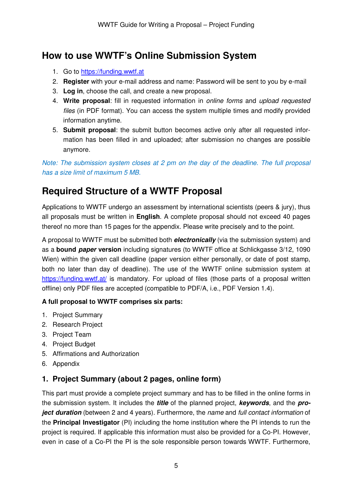## **How to use WWTF's Online Submission System**

- 1. Go to https://funding.wwtf.at
- 2. **Register** with your e-mail address and name: Password will be sent to you by e-mail
- 3. **Log in**, choose the call, and create a new proposal.
- 4. **Write proposal**: fill in requested information in online forms and upload requested files (in PDF format). You can access the system multiple times and modify provided information anytime.
- 5. **Submit proposal**: the submit button becomes active only after all requested information has been filled in and uploaded; after submission no changes are possible anymore.

Note: The submission system closes at 2 pm on the day of the deadline. The full proposal has a size limit of maximum 5 MB.

# **Required Structure of a WWTF Proposal**

Applications to WWTF undergo an assessment by international scientists (peers & jury), thus all proposals must be written in **English**. A complete proposal should not exceed 40 pages thereof no more than 15 pages for the appendix. Please write precisely and to the point.

A proposal to WWTF must be submitted both **electronically** (via the submission system) and as a **bound paper version** including signatures (to WWTF office at Schlickgasse 3/12, 1090 Wien) within the given call deadline (paper version either personally, or date of post stamp, both no later than day of deadline). The use of the WWTF online submission system at https://funding.wwtf.at/ is mandatory. For upload of files (those parts of a proposal written offline) only PDF files are accepted (compatible to PDF/A, i.e., PDF Version 1.4).

#### **A full proposal to WWTF comprises six parts:**

- 1. Project Summary
- 2. Research Project
- 3. Project Team
- 4. Project Budget
- 5. Affirmations and Authorization
- 6. Appendix

### **1. Project Summary (about 2 pages, online form)**

This part must provide a complete project summary and has to be filled in the online forms in the submission system. It includes the **title** of the planned project, **keywords**, and the **project duration** (between 2 and 4 years). Furthermore, the name and full contact information of the **Principal Investigator** (PI) including the home institution where the PI intends to run the project is required. If applicable this information must also be provided for a Co-PI. However, even in case of a Co-PI the PI is the sole responsible person towards WWTF. Furthermore,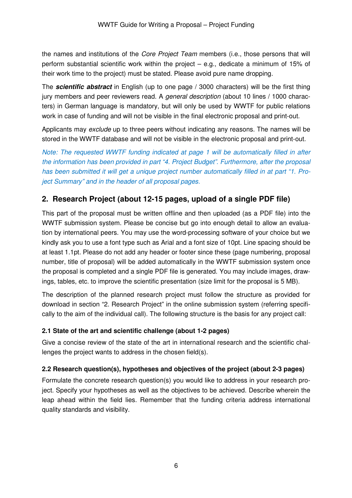the names and institutions of the Core Project Team members (i.e., those persons that will perform substantial scientific work within the project – e.g., dedicate a minimum of 15% of their work time to the project) must be stated. Please avoid pure name dropping.

The **scientific abstract** in English (up to one page / 3000 characters) will be the first thing jury members and peer reviewers read. A *general description* (about 10 lines / 1000 characters) in German language is mandatory, but will only be used by WWTF for public relations work in case of funding and will not be visible in the final electronic proposal and print-out.

Applicants may *exclude* up to three peers without indicating any reasons. The names will be stored in the WWTF database and will not be visible in the electronic proposal and print-out.

Note: The requested WWTF funding indicated at page 1 will be automatically filled in after the information has been provided in part "4. Project Budget". Furthermore, after the proposal has been submitted it will get a unique project number automatically filled in at part "1. Project Summary" and in the header of all proposal pages.

### **2. Research Project (about 12-15 pages, upload of a single PDF file)**

This part of the proposal must be written offline and then uploaded (as a PDF file) into the WWTF submission system. Please be concise but go into enough detail to allow an evaluation by international peers. You may use the word-processing software of your choice but we kindly ask you to use a font type such as Arial and a font size of 10pt. Line spacing should be at least 1.1pt. Please do not add any header or footer since these (page numbering, proposal number, title of proposal) will be added automatically in the WWTF submission system once the proposal is completed and a single PDF file is generated. You may include images, drawings, tables, etc. to improve the scientific presentation (size limit for the proposal is 5 MB).

The description of the planned research project must follow the structure as provided for download in section "2. Research Project" in the online submission system (referring specifically to the aim of the individual call). The following structure is the basis for any project call:

#### **2.1 State of the art and scientific challenge (about 1-2 pages)**

Give a concise review of the state of the art in international research and the scientific challenges the project wants to address in the chosen field(s).

#### **2.2 Research question(s), hypotheses and objectives of the project (about 2-3 pages)**

Formulate the concrete research question(s) you would like to address in your research project. Specify your hypotheses as well as the objectives to be achieved. Describe wherein the leap ahead within the field lies. Remember that the funding criteria address international quality standards and visibility.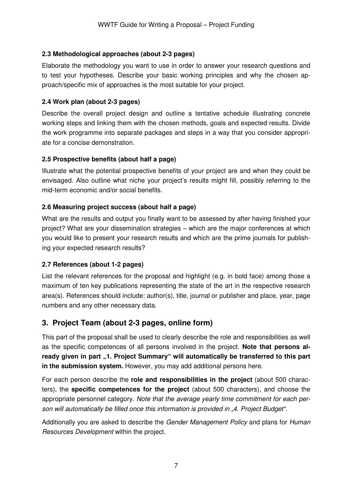#### **2.3 Methodological approaches (about 2-3 pages)**

Elaborate the methodology you want to use in order to answer your research questions and to test your hypotheses. Describe your basic working principles and why the chosen approach/specific mix of approaches is the most suitable for your project.

#### **2.4 Work plan (about 2-3 pages)**

Describe the overall project design and outline a tentative schedule illustrating concrete working steps and linking them with the chosen methods, goals and expected results. Divide the work programme into separate packages and steps in a way that you consider appropriate for a concise demonstration.

#### **2.5 Prospective benefits (about half a page)**

Illustrate what the potential prospective benefits of your project are and when they could be envisaged. Also outline what niche your project's results might fill, possibly referring to the mid-term economic and/or social benefits.

#### **2.6 Measuring project success (about half a page)**

What are the results and output you finally want to be assessed by after having finished your project? What are your dissemination strategies – which are the major conferences at which you would like to present your research results and which are the prime journals for publishing your expected research results?

#### **2.7 References (about 1-2 pages)**

List the relevant references for the proposal and highlight (e.g. in bold face) among those a maximum of ten key publications representing the state of the art in the respective research area(s). References should include: author(s), title, journal or publisher and place, year, page numbers and any other necessary data.

### **3. Project Team (about 2-3 pages, online form)**

This part of the proposal shall be used to clearly describe the role and responsibilities as well as the specific competences of all persons involved in the project. **Note that persons al**ready given in part "1. Project Summary" will automatically be transferred to this part **in the submission system.** However, you may add additional persons here.

For each person describe the **role and responsibilities in the project** (about 500 characters), the **specific competences for the project** (about 500 characters), and choose the appropriate personnel category. Note that the average yearly time commitment for each person will automatically be filled once this information is provided in "4. Project Budget".

Additionally you are asked to describe the Gender Management Policy and plans for Human Resources Development within the project.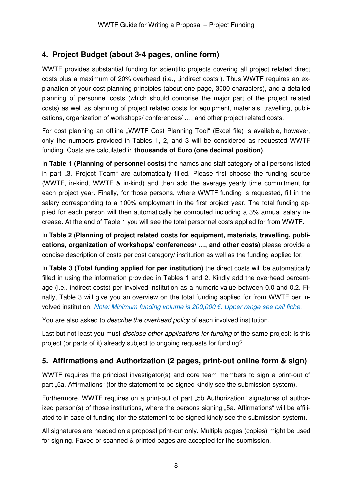### **4. Project Budget (about 3-4 pages, online form)**

WWTF provides substantial funding for scientific projects covering all project related direct costs plus a maximum of 20% overhead (i.e., "indirect costs"). Thus WWTF requires an explanation of your cost planning principles (about one page, 3000 characters), and a detailed planning of personnel costs (which should comprise the major part of the project related costs) as well as planning of project related costs for equipment, materials, travelling, publications, organization of workshops/ conferences/ …, and other project related costs.

For cost planning an offline "WWTF Cost Planning Tool" (Excel file) is available, however, only the numbers provided in Tables 1, 2, and 3 will be considered as requested WWTF funding. Costs are calculated in **thousands of Euro (one decimal position)**.

In **Table 1 (Planning of personnel costs)** the names and staff category of all persons listed in part "3. Project Team" are automatically filled. Please first choose the funding source (WWTF, in-kind, WWTF & in-kind) and then add the average yearly time commitment for each project year. Finally, for those persons, where WWTF funding is requested, fill in the salary corresponding to a 100% employment in the first project year. The total funding applied for each person will then automatically be computed including a 3% annual salary increase. At the end of Table 1 you will see the total personnel costs applied for from WWTF.

In **Table 2** (**Planning of project related costs for equipment, materials, travelling, publications, organization of workshops/ conferences/ …, and other costs)** please provide a concise description of costs per cost category/ institution as well as the funding applied for.

In **Table 3 (Total funding applied for per institution)** the direct costs will be automatically filled in using the information provided in Tables 1 and 2. Kindly add the overhead percentage (i.e., indirect costs) per involved institution as a numeric value between 0.0 and 0.2. Finally, Table 3 will give you an overview on the total funding applied for from WWTF per involved institution. Note: Minimum funding volume is 200,000 €. Upper range see call fiche.

You are also asked to *describe the overhead policy* of each involved institution.

Last but not least you must *disclose other applications for funding* of the same project: Is this project (or parts of it) already subject to ongoing requests for funding?

### **5. Affirmations and Authorization (2 pages, print-out online form & sign)**

WWTF requires the principal investigator(s) and core team members to sign a print-out of part "5a. Affirmations" (for the statement to be signed kindly see the submission system).

Furthermore, WWTF requires on a print-out of part ".5b Authorization" signatures of authorized person(s) of those institutions, where the persons signing "5a. Affirmations" will be affiliated to in case of funding (for the statement to be signed kindly see the submission system).

All signatures are needed on a proposal print-out only. Multiple pages (copies) might be used for signing. Faxed or scanned & printed pages are accepted for the submission.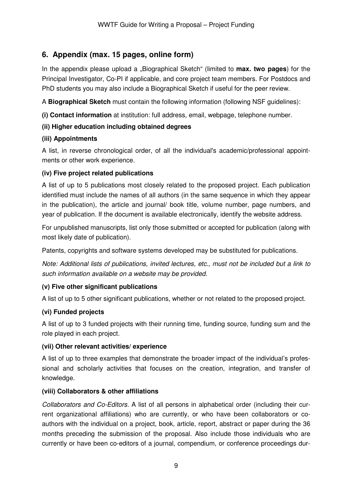### **6. Appendix (max. 15 pages, online form)**

In the appendix please upload a "Biographical Sketch" (limited to **max. two pages**) for the Principal Investigator, Co-PI if applicable, and core project team members. For Postdocs and PhD students you may also include a Biographical Sketch if useful for the peer review.

A **Biographical Sketch** must contain the following information (following NSF guidelines):

**(i) Contact information** at institution: full address, email, webpage, telephone number.

#### **(ii) Higher education including obtained degrees**

#### **(iii) Appointments**

A list, in reverse chronological order, of all the individual's academic/professional appointments or other work experience.

#### **(iv) Five project related publications**

A list of up to 5 publications most closely related to the proposed project. Each publication identified must include the names of all authors (in the same sequence in which they appear in the publication), the article and journal/ book title, volume number, page numbers, and year of publication. If the document is available electronically, identify the website address.

For unpublished manuscripts, list only those submitted or accepted for publication (along with most likely date of publication).

Patents, copyrights and software systems developed may be substituted for publications.

Note: Additional lists of publications, invited lectures, etc., must not be included but a link to such information available on a website may be provided.

#### **(v) Five other significant publications**

A list of up to 5 other significant publications, whether or not related to the proposed project.

#### **(vi) Funded projects**

A list of up to 3 funded projects with their running time, funding source, funding sum and the role played in each project.

#### **(vii) Other relevant activities/ experience**

A list of up to three examples that demonstrate the broader impact of the individual's professional and scholarly activities that focuses on the creation, integration, and transfer of knowledge.

#### **(viii) Collaborators & other affiliations**

Collaborators and Co-Editors. A list of all persons in alphabetical order (including their current organizational affiliations) who are currently, or who have been collaborators or coauthors with the individual on a project, book, article, report, abstract or paper during the 36 months preceding the submission of the proposal. Also include those individuals who are currently or have been co-editors of a journal, compendium, or conference proceedings dur